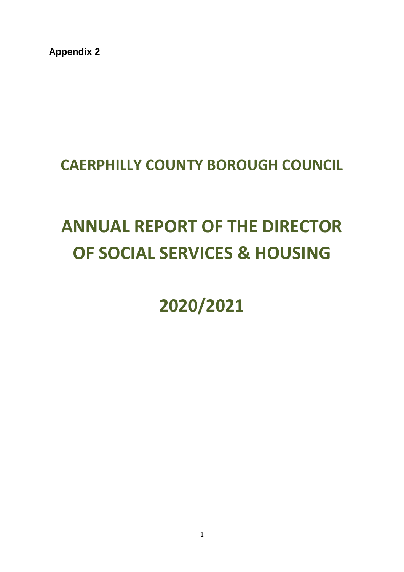**Appendix 2**

# **CAERPHILLY COUNTY BOROUGH COUNCIL**

# **ANNUAL REPORT OF THE DIRECTOR OF SOCIAL SERVICES & HOUSING**

**2020/2021**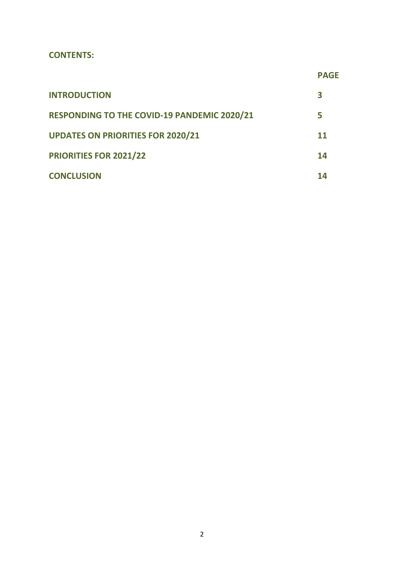#### **CONTENTS:**

|                                             | <b>PAGE</b> |
|---------------------------------------------|-------------|
| <b>INTRODUCTION</b>                         | З           |
| RESPONDING TO THE COVID-19 PANDEMIC 2020/21 | 5           |
| <b>UPDATES ON PRIORITIES FOR 2020/21</b>    | 11          |
| PRIORITIES FOR 2021/22                      | 14          |
| <b>CONCLUSION</b>                           | 14          |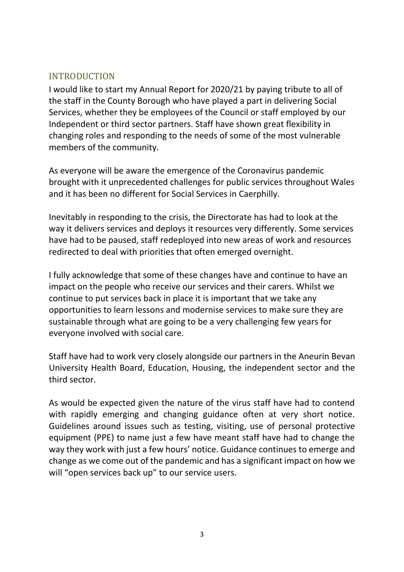# INTRODUCTION

I would like to start my Annual Report for 2020/21 by paying tribute to all of the staff in the County Borough who have played a part in delivering Social Services, whether they be employees of the Council or staff employed by our Independent or third sector partners. Staff have shown great flexibility in changing roles and responding to the needs of some of the most vulnerable members of the community.

As everyone will be aware the emergence of the Coronavirus pandemic brought with it unprecedented challenges for public services throughout Wales and it has been no different for Social Services in Caerphilly.

Inevitably in responding to the crisis, the Directorate has had to look at the way it delivers services and deploys it resources very differently. Some services have had to be paused, staff redeployed into new areas of work and resources redirected to deal with priorities that often emerged overnight.

I fully acknowledge that some of these changes have and continue to have an impact on the people who receive our services and their carers. Whilst we continue to put services back in place it is important that we take any opportunities to learn lessons and modernise services to make sure they are sustainable through what are going to be a very challenging few years for everyone involved with social care.

Staff have had to work very closely alongside our partners in the Aneurin Bevan University Health Board, Education, Housing, the independent sector and the third sector.

As would be expected given the nature of the virus staff have had to contend with rapidly emerging and changing guidance often at very short notice. Guidelines around issues such as testing, visiting, use of personal protective equipment (PPE) to name just a few have meant staff have had to change the way they work with just a few hours' notice. Guidance continues to emerge and change as we come out of the pandemic and has a significant impact on how we will "open services back up" to our service users.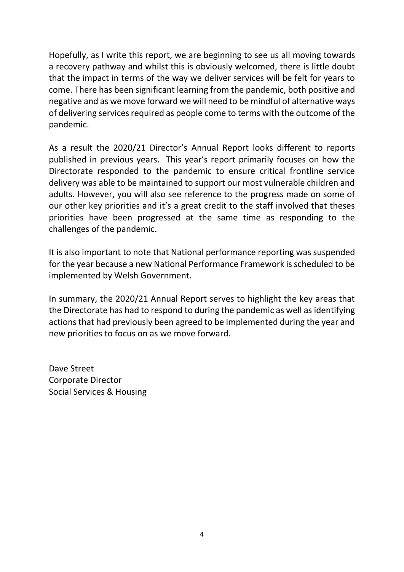Hopefully, as I write this report, we are beginning to see us all moving towards a recovery pathway and whilst this is obviously welcomed, there is little doubt that the impact in terms of the way we deliver services will be felt for years to come. There has been significant learning from the pandemic, both positive and negative and as we move forward we will need to be mindful of alternative ways of delivering services required as people come to terms with the outcome of the pandemic.

As a result the 2020/21 Director's Annual Report looks different to reports published in previous years. This year's report primarily focuses on how the Directorate responded to the pandemic to ensure critical frontline service delivery was able to be maintained to support our most vulnerable children and adults. However, you will also see reference to the progress made on some of our other key priorities and it's a great credit to the staff involved that theses priorities have been progressed at the same time as responding to the challenges of the pandemic.

It is also important to note that National performance reporting was suspended for the year because a new National Performance Framework is scheduled to be implemented by Welsh Government.

In summary, the 2020/21 Annual Report serves to highlight the key areas that the Directorate has had to respond to during the pandemic as well as identifying actions that had previously been agreed to be implemented during the year and new priorities to focus on as we move forward.

Dave Street Corporate Director Social Services & Housing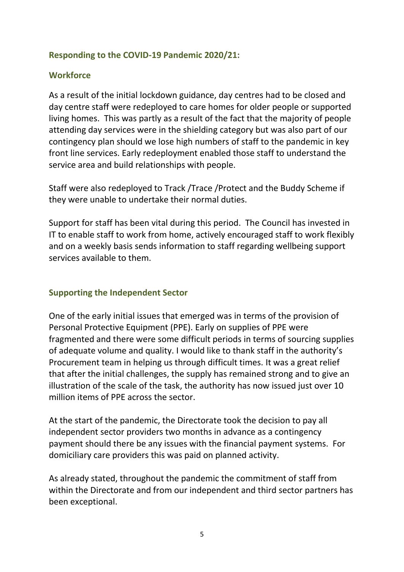## **Responding to the COVID-19 Pandemic 2020/21:**

## **Workforce**

As a result of the initial lockdown guidance, day centres had to be closed and day centre staff were redeployed to care homes for older people or supported living homes. This was partly as a result of the fact that the majority of people attending day services were in the shielding category but was also part of our contingency plan should we lose high numbers of staff to the pandemic in key front line services. Early redeployment enabled those staff to understand the service area and build relationships with people.

Staff were also redeployed to Track /Trace /Protect and the Buddy Scheme if they were unable to undertake their normal duties.

Support for staff has been vital during this period. The Council has invested in IT to enable staff to work from home, actively encouraged staff to work flexibly and on a weekly basis sends information to staff regarding wellbeing support services available to them.

## **Supporting the Independent Sector**

One of the early initial issues that emerged was in terms of the provision of Personal Protective Equipment (PPE). Early on supplies of PPE were fragmented and there were some difficult periods in terms of sourcing supplies of adequate volume and quality. I would like to thank staff in the authority's Procurement team in helping us through difficult times. It was a great relief that after the initial challenges, the supply has remained strong and to give an illustration of the scale of the task, the authority has now issued just over 10 million items of PPE across the sector.

At the start of the pandemic, the Directorate took the decision to pay all independent sector providers two months in advance as a contingency payment should there be any issues with the financial payment systems. For domiciliary care providers this was paid on planned activity.

As already stated, throughout the pandemic the commitment of staff from within the Directorate and from our independent and third sector partners has been exceptional.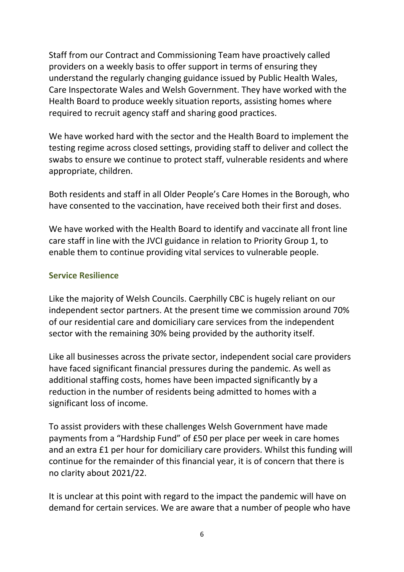Staff from our Contract and Commissioning Team have proactively called providers on a weekly basis to offer support in terms of ensuring they understand the regularly changing guidance issued by Public Health Wales, Care Inspectorate Wales and Welsh Government. They have worked with the Health Board to produce weekly situation reports, assisting homes where required to recruit agency staff and sharing good practices.

We have worked hard with the sector and the Health Board to implement the testing regime across closed settings, providing staff to deliver and collect the swabs to ensure we continue to protect staff, vulnerable residents and where appropriate, children.

Both residents and staff in all Older People's Care Homes in the Borough, who have consented to the vaccination, have received both their first and doses.

We have worked with the Health Board to identify and vaccinate all front line care staff in line with the JVCI guidance in relation to Priority Group 1, to enable them to continue providing vital services to vulnerable people.

#### **Service Resilience**

Like the majority of Welsh Councils. Caerphilly CBC is hugely reliant on our independent sector partners. At the present time we commission around 70% of our residential care and domiciliary care services from the independent sector with the remaining 30% being provided by the authority itself.

Like all businesses across the private sector, independent social care providers have faced significant financial pressures during the pandemic. As well as additional staffing costs, homes have been impacted significantly by a reduction in the number of residents being admitted to homes with a significant loss of income.

To assist providers with these challenges Welsh Government have made payments from a "Hardship Fund" of £50 per place per week in care homes and an extra £1 per hour for domiciliary care providers. Whilst this funding will continue for the remainder of this financial year, it is of concern that there is no clarity about 2021/22.

It is unclear at this point with regard to the impact the pandemic will have on demand for certain services. We are aware that a number of people who have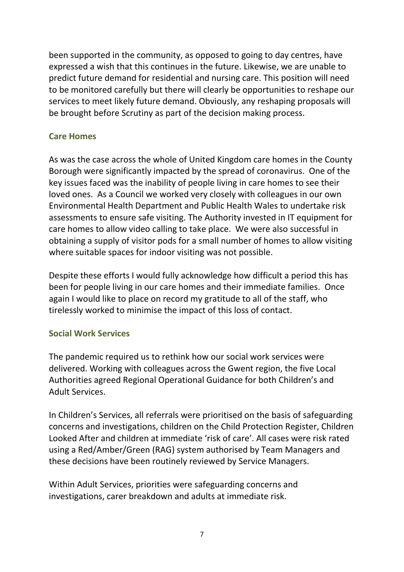been supported in the community, as opposed to going to day centres, have expressed a wish that this continues in the future. Likewise, we are unable to predict future demand for residential and nursing care. This position will need to be monitored carefully but there will clearly be opportunities to reshape our services to meet likely future demand. Obviously, any reshaping proposals will be brought before Scrutiny as part of the decision making process.

# **Care Homes**

As was the case across the whole of United Kingdom care homes in the County Borough were significantly impacted by the spread of coronavirus. One of the key issues faced was the inability of people living in care homes to see their loved ones. As a Council we worked very closely with colleagues in our own Environmental Health Department and Public Health Wales to undertake risk assessments to ensure safe visiting. The Authority invested in IT equipment for care homes to allow video calling to take place. We were also successful in obtaining a supply of visitor pods for a small number of homes to allow visiting where suitable spaces for indoor visiting was not possible.

Despite these efforts I would fully acknowledge how difficult a period this has been for people living in our care homes and their immediate families. Once again I would like to place on record my gratitude to all of the staff, who tirelessly worked to minimise the impact of this loss of contact.

## **Social Work Services**

The pandemic required us to rethink how our social work services were delivered. Working with colleagues across the Gwent region, the five Local Authorities agreed Regional Operational Guidance for both Children's and Adult Services.

In Children's Services, all referrals were prioritised on the basis of safeguarding concerns and investigations, children on the Child Protection Register, Children Looked After and children at immediate 'risk of care'. All cases were risk rated using a Red/Amber/Green (RAG) system authorised by Team Managers and these decisions have been routinely reviewed by Service Managers.

Within Adult Services, priorities were safeguarding concerns and investigations, carer breakdown and adults at immediate risk.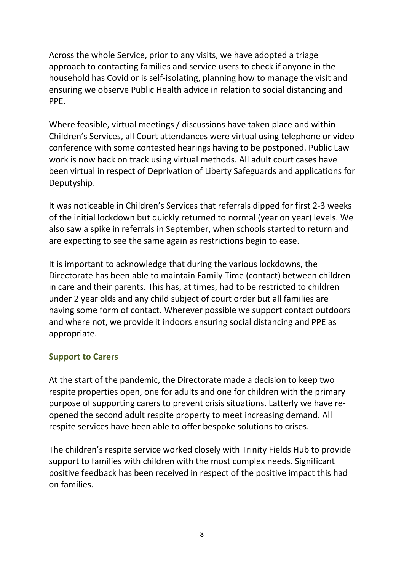Across the whole Service, prior to any visits, we have adopted a triage approach to contacting families and service users to check if anyone in the household has Covid or is self-isolating, planning how to manage the visit and ensuring we observe Public Health advice in relation to social distancing and PPE.

Where feasible, virtual meetings / discussions have taken place and within Children's Services, all Court attendances were virtual using telephone or video conference with some contested hearings having to be postponed. Public Law work is now back on track using virtual methods. All adult court cases have been virtual in respect of Deprivation of Liberty Safeguards and applications for Deputyship.

It was noticeable in Children's Services that referrals dipped for first 2-3 weeks of the initial lockdown but quickly returned to normal (year on year) levels. We also saw a spike in referrals in September, when schools started to return and are expecting to see the same again as restrictions begin to ease.

It is important to acknowledge that during the various lockdowns, the Directorate has been able to maintain Family Time (contact) between children in care and their parents. This has, at times, had to be restricted to children under 2 year olds and any child subject of court order but all families are having some form of contact. Wherever possible we support contact outdoors and where not, we provide it indoors ensuring social distancing and PPE as appropriate.

# **Support to Carers**

At the start of the pandemic, the Directorate made a decision to keep two respite properties open, one for adults and one for children with the primary purpose of supporting carers to prevent crisis situations. Latterly we have reopened the second adult respite property to meet increasing demand. All respite services have been able to offer bespoke solutions to crises.

The children's respite service worked closely with Trinity Fields Hub to provide support to families with children with the most complex needs. Significant positive feedback has been received in respect of the positive impact this had on families.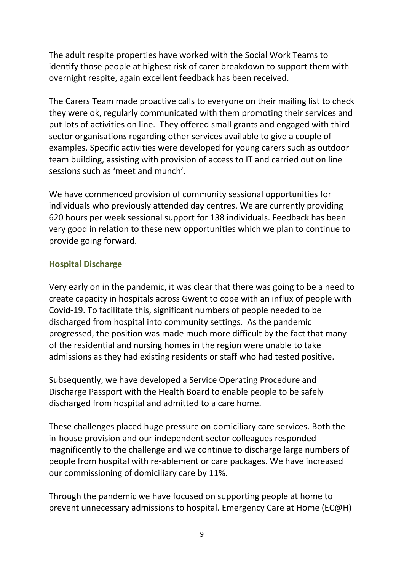The adult respite properties have worked with the Social Work Teams to identify those people at highest risk of carer breakdown to support them with overnight respite, again excellent feedback has been received.

The Carers Team made proactive calls to everyone on their mailing list to check they were ok, regularly communicated with them promoting their services and put lots of activities on line. They offered small grants and engaged with third sector organisations regarding other services available to give a couple of examples. Specific activities were developed for young carers such as outdoor team building, assisting with provision of access to IT and carried out on line sessions such as 'meet and munch'.

We have commenced provision of community sessional opportunities for individuals who previously attended day centres. We are currently providing 620 hours per week sessional support for 138 individuals. Feedback has been very good in relation to these new opportunities which we plan to continue to provide going forward.

# **Hospital Discharge**

Very early on in the pandemic, it was clear that there was going to be a need to create capacity in hospitals across Gwent to cope with an influx of people with Covid-19. To facilitate this, significant numbers of people needed to be discharged from hospital into community settings. As the pandemic progressed, the position was made much more difficult by the fact that many of the residential and nursing homes in the region were unable to take admissions as they had existing residents or staff who had tested positive.

Subsequently, we have developed a Service Operating Procedure and Discharge Passport with the Health Board to enable people to be safely discharged from hospital and admitted to a care home.

These challenges placed huge pressure on domiciliary care services. Both the in-house provision and our independent sector colleagues responded magnificently to the challenge and we continue to discharge large numbers of people from hospital with re-ablement or care packages. We have increased our commissioning of domiciliary care by 11%.

Through the pandemic we have focused on supporting people at home to prevent unnecessary admissions to hospital. Emergency Care at Home (EC@H)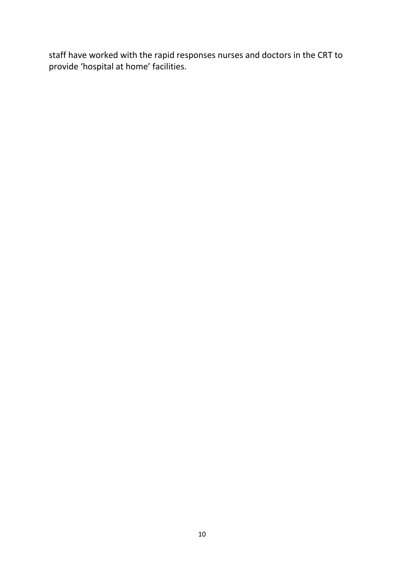staff have worked with the rapid responses nurses and doctors in the CRT to provide 'hospital at home' facilities.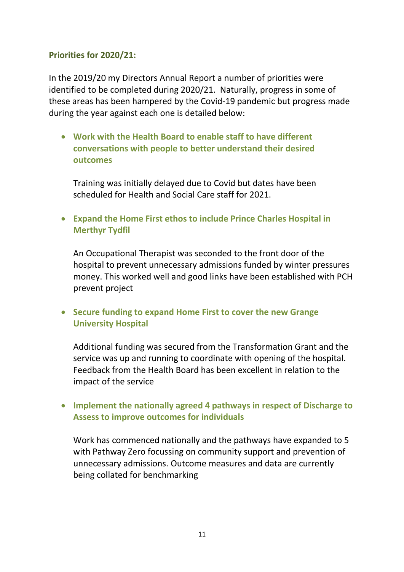### **Priorities for 2020/21:**

In the 2019/20 my Directors Annual Report a number of priorities were identified to be completed during 2020/21. Naturally, progress in some of these areas has been hampered by the Covid-19 pandemic but progress made during the year against each one is detailed below:

 **Work with the Health Board to enable staff to have different conversations with people to better understand their desired outcomes** 

Training was initially delayed due to Covid but dates have been scheduled for Health and Social Care staff for 2021.

 **Expand the Home First ethos to include Prince Charles Hospital in Merthyr Tydfil**

An Occupational Therapist was seconded to the front door of the hospital to prevent unnecessary admissions funded by winter pressures money. This worked well and good links have been established with PCH prevent project

 **Secure funding to expand Home First to cover the new Grange University Hospital** 

Additional funding was secured from the Transformation Grant and the service was up and running to coordinate with opening of the hospital. Feedback from the Health Board has been excellent in relation to the impact of the service

# **Implement the nationally agreed 4 pathways in respect of Discharge to Assess to improve outcomes for individuals**

Work has commenced nationally and the pathways have expanded to 5 with Pathway Zero focussing on community support and prevention of unnecessary admissions. Outcome measures and data are currently being collated for benchmarking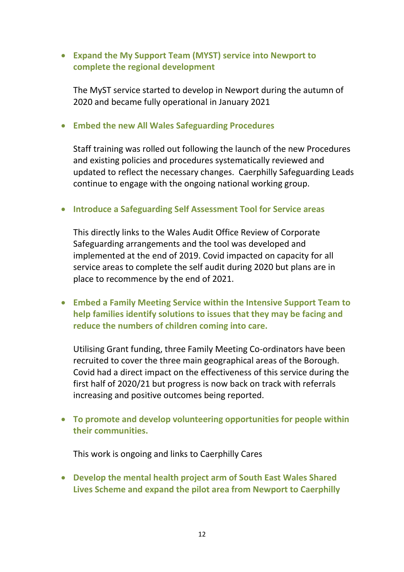# **Expand the My Support Team (MYST) service into Newport to complete the regional development**

The MyST service started to develop in Newport during the autumn of 2020 and became fully operational in January 2021

#### **Embed the new All Wales Safeguarding Procedures**

Staff training was rolled out following the launch of the new Procedures and existing policies and procedures systematically reviewed and updated to reflect the necessary changes. Caerphilly Safeguarding Leads continue to engage with the ongoing national working group.

#### **Introduce a Safeguarding Self Assessment Tool for Service areas**

This directly links to the Wales Audit Office Review of Corporate Safeguarding arrangements and the tool was developed and implemented at the end of 2019. Covid impacted on capacity for all service areas to complete the self audit during 2020 but plans are in place to recommence by the end of 2021.

 **Embed a Family Meeting Service within the Intensive Support Team to help families identify solutions to issues that they may be facing and reduce the numbers of children coming into care.**

Utilising Grant funding, three Family Meeting Co-ordinators have been recruited to cover the three main geographical areas of the Borough. Covid had a direct impact on the effectiveness of this service during the first half of 2020/21 but progress is now back on track with referrals increasing and positive outcomes being reported.

 **To promote and develop volunteering opportunities for people within their communities.**

This work is ongoing and links to Caerphilly Cares

 **Develop the mental health project arm of South East Wales Shared Lives Scheme and expand the pilot area from Newport to Caerphilly**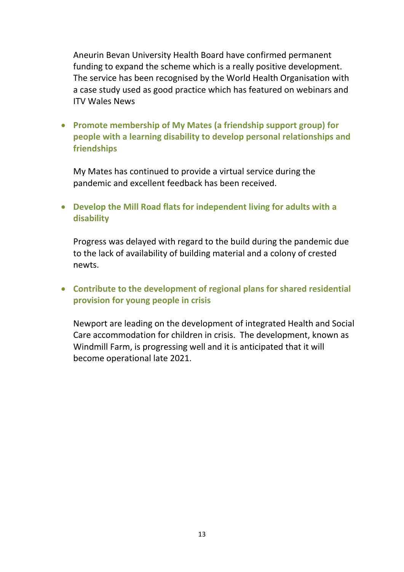Aneurin Bevan University Health Board have confirmed permanent funding to expand the scheme which is a really positive development. The service has been recognised by the World Health Organisation with a case study used as good practice which has featured on webinars and ITV Wales News

 **Promote membership of My Mates (a friendship support group) for people with a learning disability to develop personal relationships and friendships** 

My Mates has continued to provide a virtual service during the pandemic and excellent feedback has been received.

 **Develop the Mill Road flats for independent living for adults with a disability**

Progress was delayed with regard to the build during the pandemic due to the lack of availability of building material and a colony of crested newts.

# **Contribute to the development of regional plans for shared residential provision for young people in crisis**

Newport are leading on the development of integrated Health and Social Care accommodation for children in crisis. The development, known as Windmill Farm, is progressing well and it is anticipated that it will become operational late 2021.